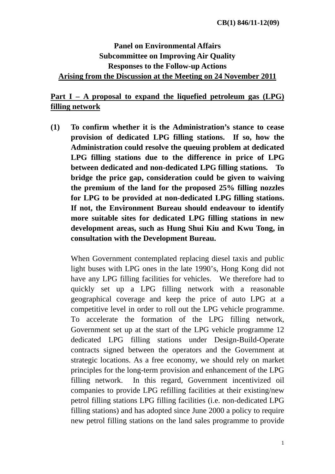## **Panel on Environmental Affairs Subcommittee on Improving Air Quality Responses to the Follow-up Actions Arising from the Discussion at the Meeting on 24 November 2011**

## **Part I – A proposal to expand the liquefied petroleum gas (LPG) filling network**

**(1) To confirm whether it is the Administration's stance to cease provision of dedicated LPG filling stations. If so, how the Administration could resolve the queuing problem at dedicated LPG filling stations due to the difference in price of LPG between dedicated and non-dedicated LPG filling stations. To bridge the price gap, consideration could be given to waiving the premium of the land for the proposed 25% filling nozzles for LPG to be provided at non-dedicated LPG filling stations. If not, the Environment Bureau should endeavour to identify more suitable sites for dedicated LPG filling stations in new development areas, such as Hung Shui Kiu and Kwu Tong, in consultation with the Development Bureau.** 

When Government contemplated replacing diesel taxis and public light buses with LPG ones in the late 1990's, Hong Kong did not have any LPG filling facilities for vehicles. We therefore had to quickly set up a LPG filling network with a reasonable geographical coverage and keep the price of auto LPG at a competitive level in order to roll out the LPG vehicle programme. To accelerate the formation of the LPG filling network, Government set up at the start of the LPG vehicle programme 12 dedicated LPG filling stations under Design-Build-Operate contracts signed between the operators and the Government at strategic locations. As a free economy, we should rely on market principles for the long-term provision and enhancement of the LPG filling network. In this regard, Government incentivized oil companies to provide LPG refilling facilities at their existing/new petrol filling stations LPG filling facilities (i.e. non-dedicated LPG filling stations) and has adopted since June 2000 a policy to require new petrol filling stations on the land sales programme to provide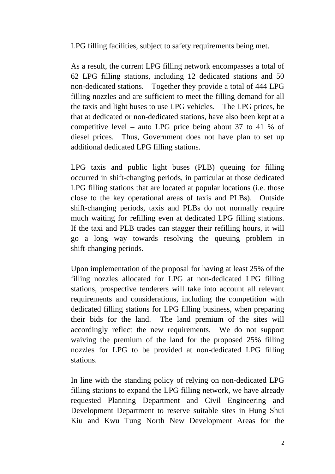LPG filling facilities, subject to safety requirements being met.

As a result, the current LPG filling network encompasses a total of 62 LPG filling stations, including 12 dedicated stations and 50 non-dedicated stations. Together they provide a total of 444 LPG filling nozzles and are sufficient to meet the filling demand for all the taxis and light buses to use LPG vehicles. The LPG prices, be that at dedicated or non-dedicated stations, have also been kept at a competitive level – auto LPG price being about 37 to 41 % of diesel prices. Thus, Government does not have plan to set up additional dedicated LPG filling stations.

LPG taxis and public light buses (PLB) queuing for filling occurred in shift-changing periods, in particular at those dedicated LPG filling stations that are located at popular locations (i.e. those close to the key operational areas of taxis and PLBs). Outside shift-changing periods, taxis and PLBs do not normally require much waiting for refilling even at dedicated LPG filling stations. If the taxi and PLB trades can stagger their refilling hours, it will go a long way towards resolving the queuing problem in shift-changing periods.

Upon implementation of the proposal for having at least 25% of the filling nozzles allocated for LPG at non-dedicated LPG filling stations, prospective tenderers will take into account all relevant requirements and considerations, including the competition with dedicated filling stations for LPG filling business, when preparing their bids for the land. The land premium of the sites will accordingly reflect the new requirements. We do not support waiving the premium of the land for the proposed 25% filling nozzles for LPG to be provided at non-dedicated LPG filling stations.

In line with the standing policy of relying on non-dedicated LPG filling stations to expand the LPG filling network, we have already requested Planning Department and Civil Engineering and Development Department to reserve suitable sites in Hung Shui Kiu and Kwu Tung North New Development Areas for the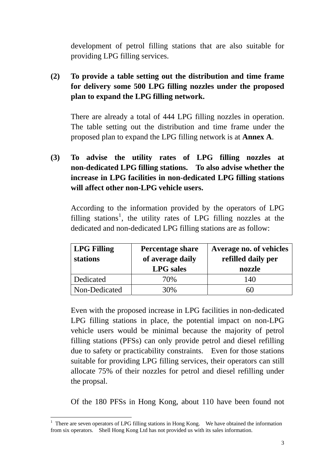development of petrol filling stations that are also suitable for providing LPG filling services.

**(2) To provide a table setting out the distribution and time frame for delivery some 500 LPG filling nozzles under the proposed plan to expand the LPG filling network.** 

There are already a total of 444 LPG filling nozzles in operation. The table setting out the distribution and time frame under the proposed plan to expand the LPG filling network is at **Annex A**.

**(3) To advise the utility rates of LPG filling nozzles at non-dedicated LPG filling stations. To also advise whether the increase in LPG facilities in non-dedicated LPG filling stations will affect other non-LPG vehicle users.** 

According to the information provided by the operators of LPG filling stations<sup>1</sup>, the utility rates of LPG filling nozzles at the dedicated and non-dedicated LPG filling stations are as follow:

| <b>LPG Filling</b><br>stations | <b>Percentage share</b><br>of average daily<br><b>LPG</b> sales | Average no. of vehicles<br>refilled daily per<br>nozzle |
|--------------------------------|-----------------------------------------------------------------|---------------------------------------------------------|
| Dedicated                      | 70%                                                             | 140                                                     |
| Non-Dedicated                  | 30%                                                             | hl.                                                     |

Even with the proposed increase in LPG facilities in non-dedicated LPG filling stations in place, the potential impact on non-LPG vehicle users would be minimal because the majority of petrol filling stations (PFSs) can only provide petrol and diesel refilling due to safety or practicability constraints. Even for those stations suitable for providing LPG filling services, their operators can still allocate 75% of their nozzles for petrol and diesel refilling under the propsal.

Of the 180 PFSs in Hong Kong, about 110 have been found not

<sup>&</sup>lt;u>.</u>  $<sup>1</sup>$  There are seven operators of LPG filling stations in Hong Kong. We have obtained the information</sup> from six operators. Shell Hong Kong Ltd has not provided us with its sales information.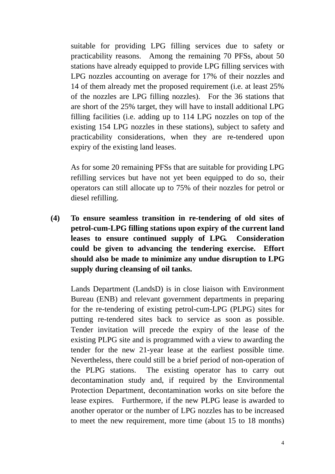suitable for providing LPG filling services due to safety or practicability reasons. Among the remaining 70 PFSs, about 50 stations have already equipped to provide LPG filling services with LPG nozzles accounting on average for 17% of their nozzles and 14 of them already met the proposed requirement (i.e. at least 25% of the nozzles are LPG filling nozzles). For the 36 stations that are short of the 25% target, they will have to install additional LPG filling facilities (i.e. adding up to 114 LPG nozzles on top of the existing 154 LPG nozzles in these stations), subject to safety and practicability considerations, when they are re-tendered upon expiry of the existing land leases.

As for some 20 remaining PFSs that are suitable for providing LPG refilling services but have not yet been equipped to do so, their operators can still allocate up to 75% of their nozzles for petrol or diesel refilling.

**(4) To ensure seamless transition in re-tendering of old sites of petrol-cum-LPG filling stations upon expiry of the current land leases to ensure continued supply of LPG. Consideration could be given to advancing the tendering exercise. Effort should also be made to minimize any undue disruption to LPG supply during cleansing of oil tanks.** 

Lands Department (LandsD) is in close liaison with Environment Bureau (ENB) and relevant government departments in preparing for the re-tendering of existing petrol-cum-LPG (PLPG) sites for putting re-tendered sites back to service as soon as possible. Tender invitation will precede the expiry of the lease of the existing PLPG site and is programmed with a view to awarding the tender for the new 21-year lease at the earliest possible time. Nevertheless, there could still be a brief period of non-operation of the PLPG stations. The existing operator has to carry out decontamination study and, if required by the Environmental Protection Department, decontamination works on site before the lease expires. Furthermore, if the new PLPG lease is awarded to another operator or the number of LPG nozzles has to be increased to meet the new requirement, more time (about 15 to 18 months)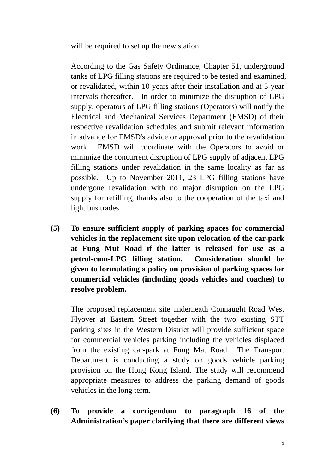will be required to set up the new station.

According to the Gas Safety Ordinance, Chapter 51, underground tanks of LPG filling stations are required to be tested and examined, or revalidated, within 10 years after their installation and at 5-year intervals thereafter. In order to minimize the disruption of LPG supply, operators of LPG filling stations (Operators) will notify the Electrical and Mechanical Services Department (EMSD) of their respective revalidation schedules and submit relevant information in advance for EMSD's advice or approval prior to the revalidation work. EMSD will coordinate with the Operators to avoid or minimize the concurrent disruption of LPG supply of adjacent LPG filling stations under revalidation in the same locality as far as possible. Up to November 2011, 23 LPG filling stations have undergone revalidation with no major disruption on the LPG supply for refilling, thanks also to the cooperation of the taxi and light bus trades.

**(5) To ensure sufficient supply of parking spaces for commercial vehicles in the replacement site upon relocation of the car-park at Fung Mut Road if the latter is released for use as a petrol-cum-LPG filling station. Consideration should be given to formulating a policy on provision of parking spaces for commercial vehicles (including goods vehicles and coaches) to resolve problem.** 

The proposed replacement site underneath Connaught Road West Flyover at Eastern Street together with the two existing STT parking sites in the Western District will provide sufficient space for commercial vehicles parking including the vehicles displaced from the existing car-park at Fung Mat Road. The Transport Department is conducting a study on goods vehicle parking provision on the Hong Kong Island. The study will recommend appropriate measures to address the parking demand of goods vehicles in the long term.

**(6) To provide a corrigendum to paragraph 16 of the Administration's paper clarifying that there are different views**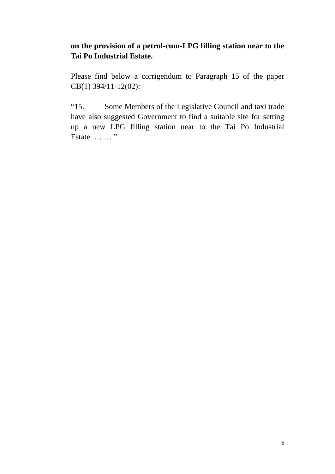## **on the provision of a petrol-cum-LPG filling station near to the Tai Po Industrial Estate.**

Please find below a corrigendum to Paragraph 15 of the paper CB(1) 394/11-12(02):

"15. Some Members of the Legislative Council and taxi trade have also suggested Government to find a suitable site for setting up a new LPG filling station near to the Tai Po Industrial Estate. … … "